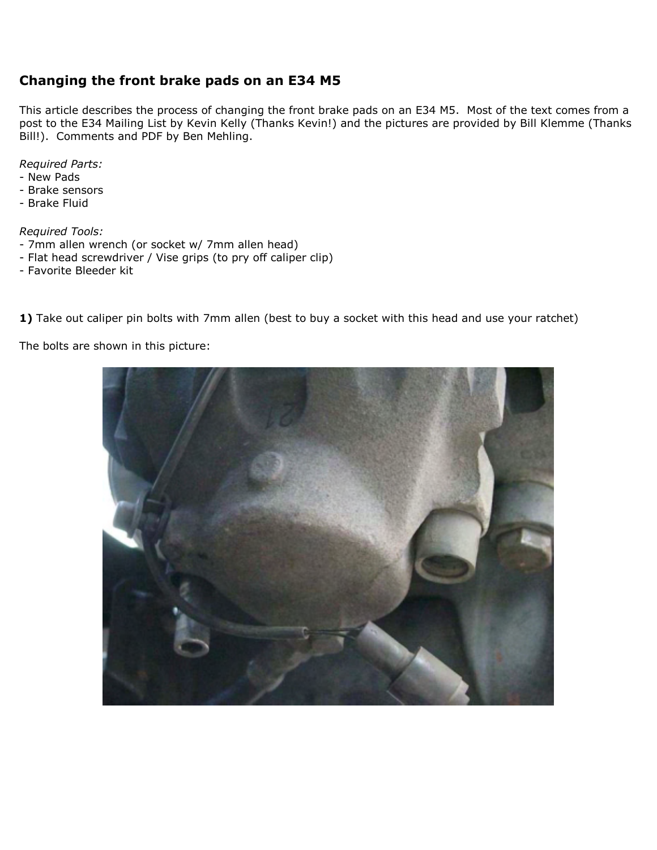## **Changing the front brake pads on an E34 M5**

This article describes the process of changing the front brake pads on an E34 M5. Most of the text comes from a post to the E34 Mailing List by Kevin Kelly (Thanks Kevin!) and the pictures are provided by Bill Klemme (Thanks Bill!). Comments and PDF by Ben Mehling.

*Required Parts:*

- New Pads
- Brake sensors
- Brake Fluid

*Required Tools:* 

- 7mm allen wrench (or socket w/ 7mm allen head)
- Flat head screwdriver / Vise grips (to pry off caliper clip)
- Favorite Bleeder kit

1) Take out caliper pin bolts with 7mm allen (best to buy a socket with this head and use your ratchet)

The bolts are shown in this picture:

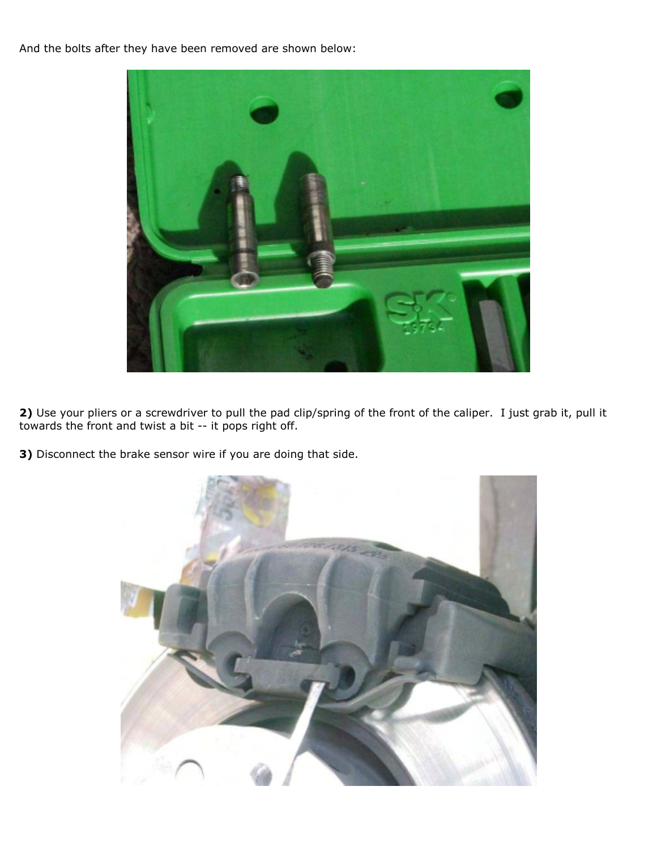And the bolts after they have been removed are shown below:



**2)** Use your pliers or a screwdriver to pull the pad clip/spring of the front of the caliper. I just grab it, pull it towards the front and twist a bit -- it pops right off.

**3)** Disconnect the brake sensor wire if you are doing that side.

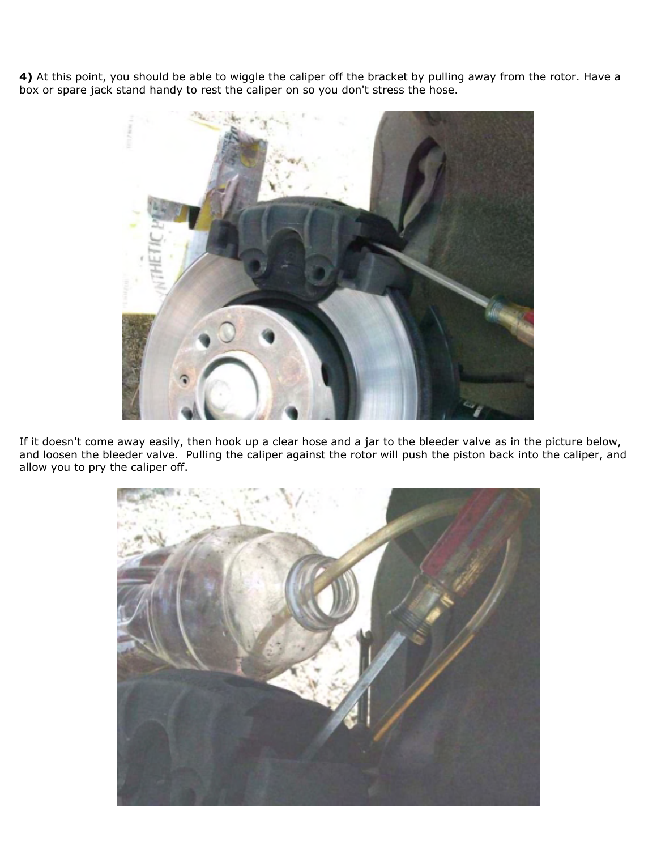**4)** At this point, you should be able to wiggle the caliper off the bracket by pulling away from the rotor. Have a box or spare jack stand handy to rest the caliper on so you don't stress the hose.



If it doesn't come away easily, then hook up a clear hose and a jar to the bleeder valve as in the picture below, and loosen the bleeder valve. Pulling the caliper against the rotor will push the piston back into the caliper, and allow you to pry the caliper off.